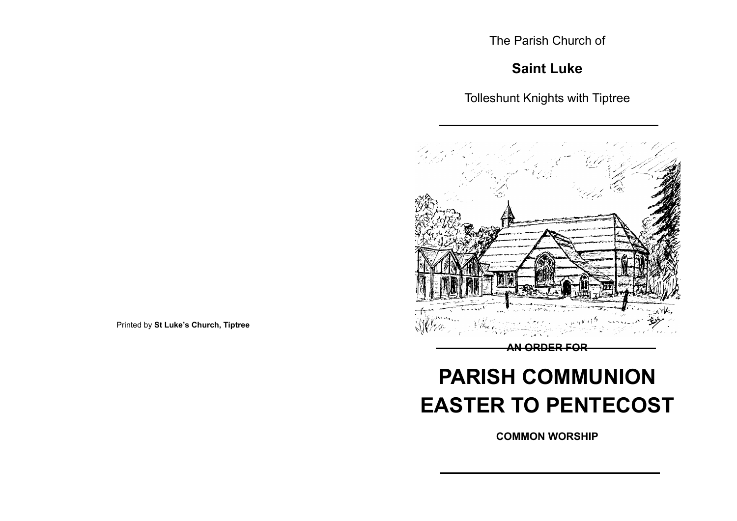The Parish Church of

## **Saint Luke**

Tolleshunt Knights with Tiptree



**COMMON WORSHIP**

**PARISH COMMUNION EASTER TO PENTECOST**

Printed by **St Luke's Church, Tiptree**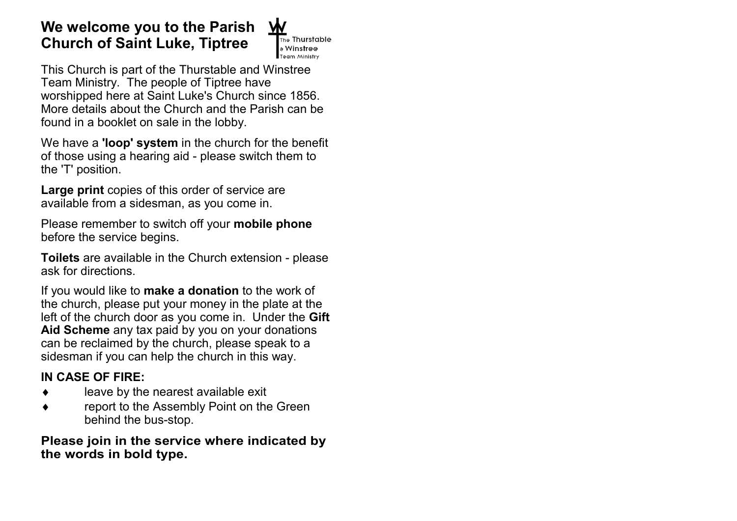## **We welcome you to the Parish Church of Saint Luke, Tiptree**



This Church is part of the Thurstable and Winstree Team Ministry. The people of Tiptree have worshipped here at Saint Luke's Church since 1856. More details about the Church and the Parish can be found in a booklet on sale in the lobby.

We have a **'loop' system** in the church for the benefit of those using a hearing aid - please switch them to the 'T' position.

**Large print** copies of this order of service are available from a sidesman, as you come in.

Please remember to switch off your **mobile phone**  before the service begins.

**Toilets** are available in the Church extension - please ask for directions.

If you would like to **make a donation** to the work of the church, please put your money in the plate at the left of the church door as you come in. Under the **Gift Aid Scheme** any tax paid by you on your donations can be reclaimed by the church, please speak to a sidesman if you can help the church in this way.

## **IN CASE OF FIRE:**

- $\bullet$  leave by the nearest available exit
- ◆ Teport to the Assembly Point on the Green behind the bus-stop.

**Please join in the service where indicated by the words in bold type.**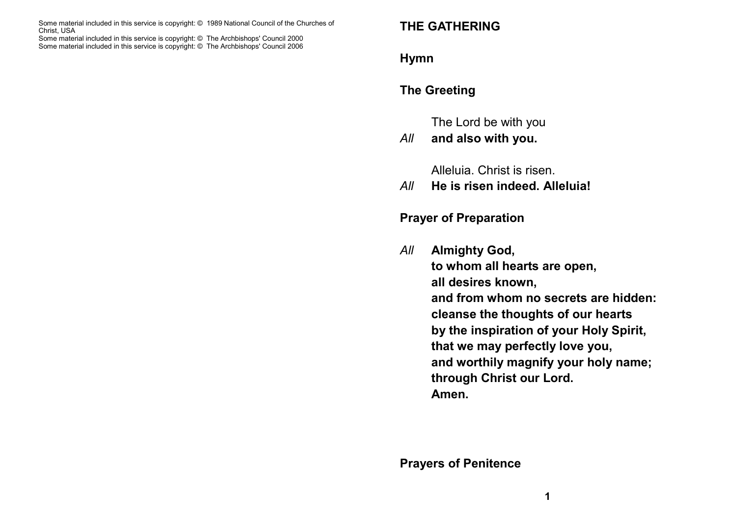Some material included in this service is copyright: © 1989 National Council of the Churches of Christ, USA Some material included in this service is copyright: © The Archbishops' Council 2000 Some material included in this service is copyright: © The Archbishops' Council 2006

## **THE GATHERING**

#### **Hymn**

## **The Greeting**

The Lord be with you

#### *All* **and also with you.**

Alleluia. Christ is risen.

*All* **He is risen indeed. Alleluia!**

#### **Prayer of Preparation**

*All* **Almighty God, to whom all hearts are open, all desires known, and from whom no secrets are hidden: cleanse the thoughts of our hearts by the inspiration of your Holy Spirit, that we may perfectly love you, and worthily magnify your holy name; through Christ our Lord. Amen.**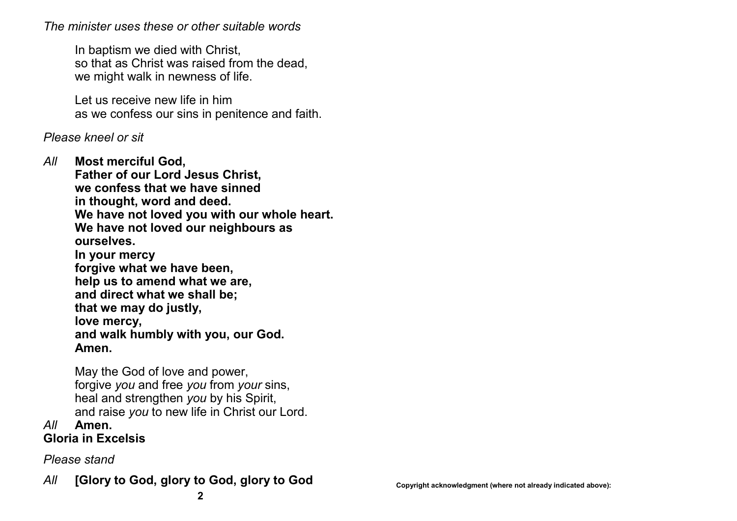*The minister uses these or other suitable words*

In baptism we died with Christ, so that as Christ was raised from the dead, we might walk in newness of life.

Let us receive new life in him as we confess our sins in penitence and faith.

#### *Please kneel or sit*

*All* **Most merciful God, Father of our Lord Jesus Christ, we confess that we have sinned in thought, word and deed. We have not loved you with our whole heart. We have not loved our neighbours as ourselves. In your mercy forgive what we have been, help us to amend what we are, and direct what we shall be; that we may do justly, love mercy, and walk humbly with you, our God. Amen.**

> May the God of love and power, forgive *you* and free *you* from *your* sins, heal and strengthen *you* by his Spirit, and raise *you* to new life in Christ our Lord.

#### *All* **Amen. Gloria in Excelsis**

*Please stand*

## All **[Glory to God, glory to God, glory to God Copyright acknowledgment (where not already indicated above):**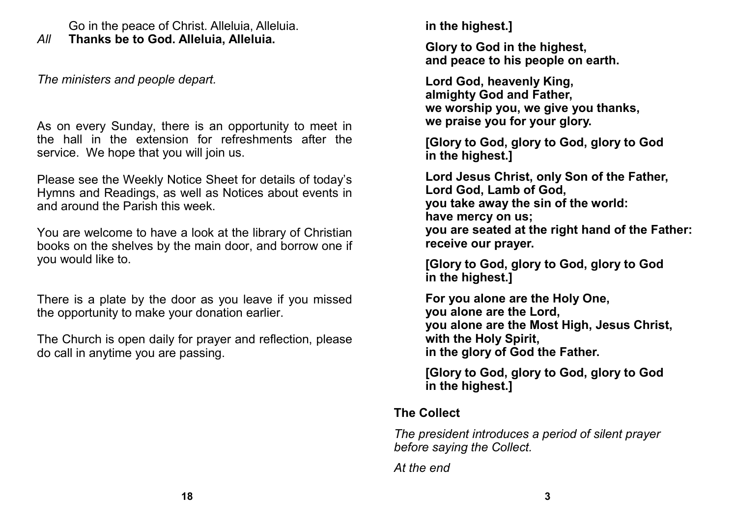Go in the peace of Christ. Alleluia, Alleluia.

*All* **Thanks be to God. Alleluia, Alleluia.**

*The ministers and people depart.*

As on every Sunday, there is an opportunity to meet in the hall in the extension for refreshments after the service. We hope that you will join us.

Please see the Weekly Notice Sheet for details of today's Hymns and Readings, as well as Notices about events in and around the Parish this week.

You are welcome to have a look at the library of Christian books on the shelves by the main door, and borrow one if you would like to.

There is a plate by the door as you leave if you missed the opportunity to make your donation earlier.

The Church is open daily for prayer and reflection, please do call in anytime you are passing.

**in the highest.]**

**Glory to God in the highest, and peace to his people on earth.**

**Lord God, heavenly King, almighty God and Father, we worship you, we give you thanks, we praise you for your glory.**

**[Glory to God, glory to God, glory to God in the highest.]**

**Lord Jesus Christ, only Son of the Father, Lord God, Lamb of God, you take away the sin of the world: have mercy on us; you are seated at the right hand of the Father: receive our prayer.**

**[Glory to God, glory to God, glory to God in the highest.]**

**For you alone are the Holy One, you alone are the Lord, you alone are the Most High, Jesus Christ, with the Holy Spirit, in the glory of God the Father.**

**[Glory to God, glory to God, glory to God in the highest.]**

**The Collect**

*The president introduces a period of silent prayer before saying the Collect.*

*At the end*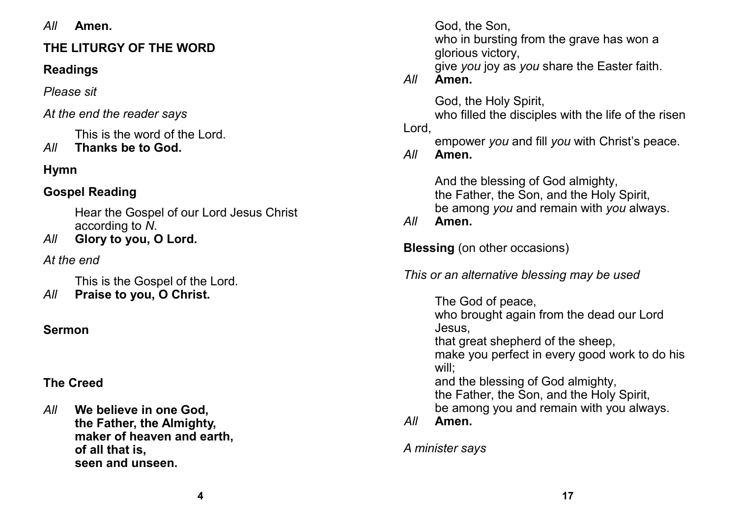*All* **Amen.**

## **THE LITURGY OF THE WORD**

## **Readings**

*Please sit*

## *At the end the reader says*

This is the word of the Lord.

# *All* **Thanks be to God.**

## **Hymn**

## **Gospel Reading**

Hear the Gospel of our Lord Jesus Christ according to *N*.

*All* **Glory to you, O Lord.**

*At the end*

This is the Gospel of the Lord.

*All* **Praise to you, O Christ.**

## **Sermon**

## **The Creed**

*All* **We believe in one God, the Father, the Almighty, maker of heaven and earth, of all that is, seen and unseen.** 

God, the Son,

who in bursting from the grave has won a glorious victory,

give *you* joy as *you* share the Easter faith.

*All* **Amen.**

God, the Holy Spirit,

who filled the disciples with the life of the risen

Lord,

empower *you* and fill *you* with Christ's peace.

*All* **Amen.**

And the blessing of God almighty, the Father, the Son, and the Holy Spirit, be among *you* and remain with *you* always.

*All* **Amen.**

**Blessing** (on other occasions)

*This or an alternative blessing may be used*

The God of peace, who brought again from the dead our Lord Jesus, that great shepherd of the sheep, make you perfect in every good work to do his will; and the blessing of God almighty, the Father, the Son, and the Holy Spirit, be among you and remain with you always. *All* **Amen.**

*A minister says*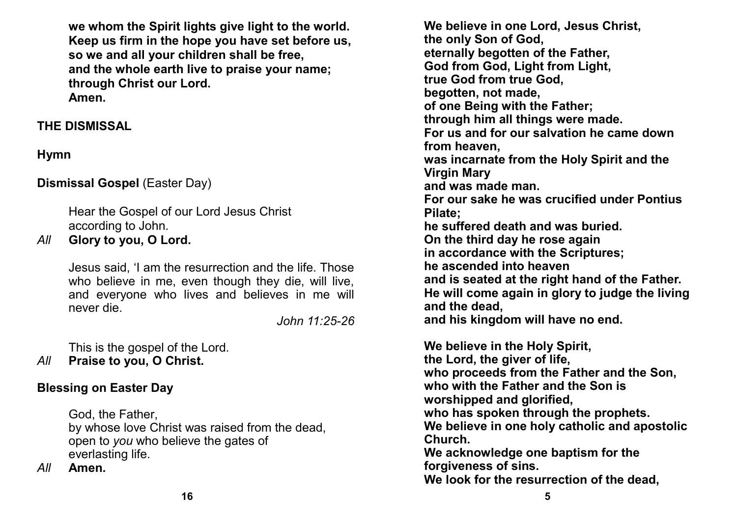**we whom the Spirit lights give light to the world. Keep us firm in the hope you have set before us, so we and all your children shall be free, and the whole earth live to praise your name; through Christ our Lord. Amen.**

#### **THE DISMISSAL**

## **Hymn**

## **Dismissal Gospel** (Easter Day)

Hear the Gospel of our Lord Jesus Christ according to John.

*All* **Glory to you, O Lord.**

Jesus said, 'I am the resurrection and the life. Those who believe in me, even though they die, will live, and everyone who lives and believes in me will never die.

*John 11:25-26*

This is the gospel of the Lord.

*All* **Praise to you, O Christ.**

## **Blessing on Easter Day**

God, the Father, by whose love Christ was raised from the dead, open to *you* who believe the gates of everlasting life.

*All* **Amen.**

**We believe in one Lord, Jesus Christ, the only Son of God, eternally begotten of the Father, God from God, Light from Light, true God from true God, begotten, not made, of one Being with the Father; through him all things were made. For us and for our salvation he came down from heaven, was incarnate from the Holy Spirit and the Virgin Mary and was made man. For our sake he was crucified under Pontius Pilate; he suffered death and was buried. On the third day he rose again in accordance with the Scriptures; he ascended into heaven and is seated at the right hand of the Father. He will come again in glory to judge the living and the dead, and his kingdom will have no end.** 

**We believe in the Holy Spirit, the Lord, the giver of life, who proceeds from the Father and the Son, who with the Father and the Son is worshipped and glorified, who has spoken through the prophets. We believe in one holy catholic and apostolic Church. We acknowledge one baptism for the forgiveness of sins.**

**We look for the resurrection of the dead,**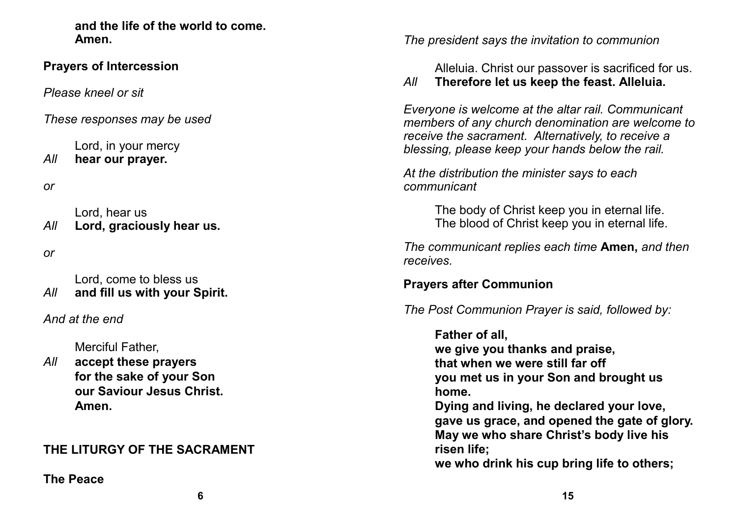**and the life of the world to come. Amen.** 

#### **Prayers of Intercession**

*Please kneel or sit*

*These responses may be used*

Lord, in your mercy *All* **hear our prayer.**

*or*

Lord, hear us *All* **Lord, graciously hear us.**

*or*

Lord, come to bless us *All* **and fill us with your Spirit.**

*And at the end*

Merciful Father,

*All* **accept these prayers for the sake of your Son our Saviour Jesus Christ. Amen.**

## **THE LITURGY OF THE SACRAMENT**

**The Peace**

*The president says the invitation to communion* 

Alleluia. Christ our passover is sacrificed for us.

#### *All* **Therefore let us keep the feast. Alleluia.**

*Everyone is welcome at the altar rail. Communicant members of any church denomination are welcome to receive the sacrament. Alternatively, to receive a blessing, please keep your hands below the rail.* 

*At the distribution the minister says to each communicant*

> The body of Christ keep you in eternal life. The blood of Christ keep you in eternal life.

*The communicant replies each time* **Amen,** *and then receives.*

## **Prayers after Communion**

*The Post Communion Prayer is said, followed by:*

**Father of all,**

**we give you thanks and praise, that when we were still far off you met us in your Son and brought us home.**

**Dying and living, he declared your love, gave us grace, and opened the gate of glory. May we who share Christ's body live his risen life;**

**we who drink his cup bring life to others;**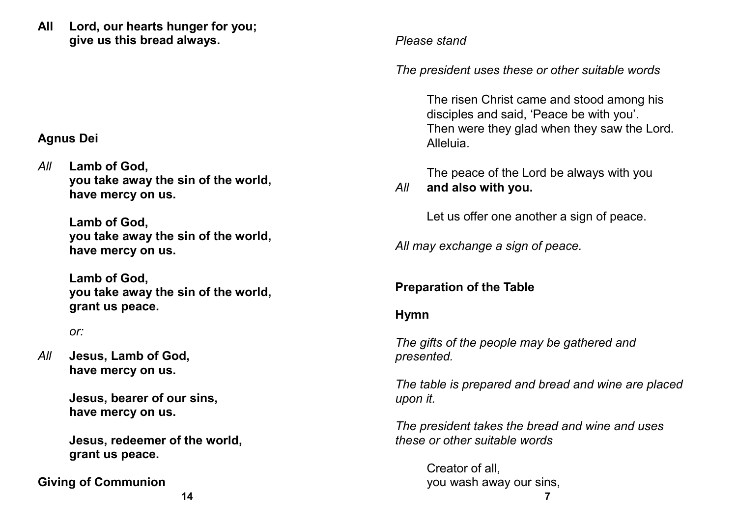**All Lord, our hearts hunger for you; give us this bread always.**

#### **Agnus Dei**

*All* **Lamb of God, you take away the sin of the world, have mercy on us.**

> **Lamb of God, you take away the sin of the world, have mercy on us.**

**Lamb of God, you take away the sin of the world, grant us peace.**

*or:*

*All* **Jesus, Lamb of God, have mercy on us.**

> **Jesus, bearer of our sins, have mercy on us.**

**Jesus, redeemer of the world, grant us peace.**

**Giving of Communion**

*Please stand*

*The president uses these or other suitable words*

The risen Christ came and stood among his disciples and said, 'Peace be with you'. Then were they glad when they saw the Lord. Alleluia.

The peace of the Lord be always with you *All* **and also with you.**

Let us offer one another a sign of peace.

*All may exchange a sign of peace.*

## **Preparation of the Table**

**Hymn**

*The gifts of the people may be gathered and presented.* 

*The table is prepared and bread and wine are placed upon it.* 

*The president takes the bread and wine and uses these or other suitable words*

> Creator of all, you wash away our sins,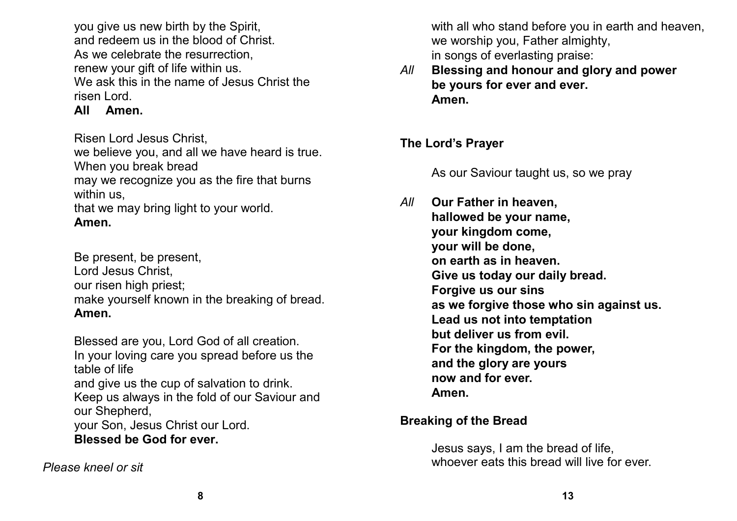you give us new birth by the Spirit, and redeem us in the blood of Christ. As we celebrate the resurrection, renew your gift of life within us. We ask this in the name of Jesus Christ the risen Lord.

**All Amen.**

Risen Lord Jesus Christ,

we believe you, and all we have heard is true. When you break bread

may we recognize you as the fire that burns within us,

that we may bring light to your world. **Amen.**

Be present, be present, Lord Jesus Christ, our risen high priest; make yourself known in the breaking of bread. **Amen.**

Blessed are you, Lord God of all creation. In your loving care you spread before us the table of life and give us the cup of salvation to drink. Keep us always in the fold of our Saviour and our Shepherd, your Son, Jesus Christ our Lord. **Blessed be God for ever.**

*Please kneel or sit*

with all who stand before you in earth and heaven. we worship you, Father almighty, in songs of everlasting praise:

*All* **Blessing and honour and glory and power be yours for ever and ever. Amen.**

## **The Lord's Prayer**

As our Saviour taught us, so we pray

*All* **Our Father in heaven, hallowed be your name, your kingdom come, your will be done, on earth as in heaven. Give us today our daily bread. Forgive us our sins as we forgive those who sin against us. Lead us not into temptation but deliver us from evil. For the kingdom, the power, and the glory are yours now and for ever. Amen.**

## **Breaking of the Bread**

Jesus says, I am the bread of life, whoever eats this bread will live for ever.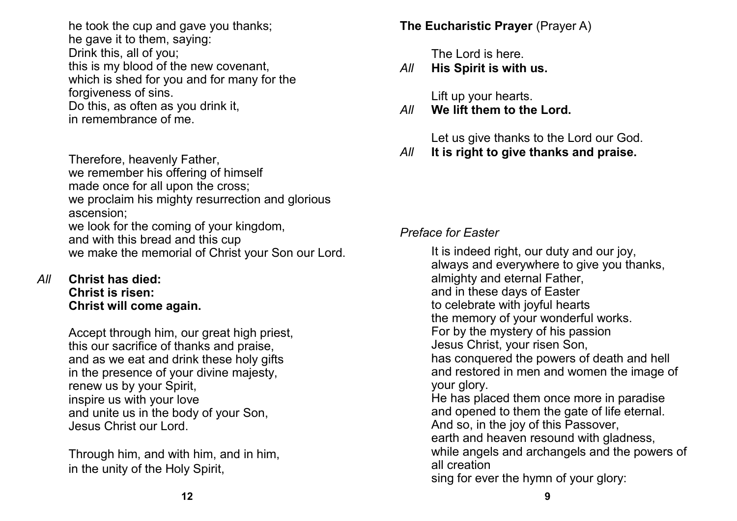he took the cup and gave you thanks; he gave it to them, saying: Drink this, all of you; this is my blood of the new covenant, which is shed for you and for many for the forgiveness of sins. Do this, as often as you drink it, in remembrance of me.

Therefore, heavenly Father, we remember his offering of himself made once for all upon the cross; we proclaim his mighty resurrection and glorious ascension; we look for the coming of your kingdom, and with this bread and this cup we make the memorial of Christ your Son our Lord.

*All* **Christ has died: Christ is risen: Christ will come again.**

> Accept through him, our great high priest, this our sacrifice of thanks and praise, and as we eat and drink these holy gifts in the presence of your divine majesty, renew us by your Spirit, inspire us with your love and unite us in the body of your Son, Jesus Christ our Lord.

Through him, and with him, and in him, in the unity of the Holy Spirit,

**The Eucharistic Prayer** (Prayer A)

The Lord is here.

*All* **His Spirit is with us.**

Lift up your hearts.

*All* **We lift them to the Lord.**

Let us give thanks to the Lord our God.

*All* **It is right to give thanks and praise.**

#### *Preface for Easter*

It is indeed right, our duty and our joy, always and everywhere to give you thanks, almighty and eternal Father, and in these days of Easter to celebrate with joyful hearts the memory of your wonderful works. For by the mystery of his passion Jesus Christ, your risen Son, has conquered the powers of death and hell and restored in men and women the image of your glory. He has placed them once more in paradise and opened to them the gate of life eternal. And so, in the joy of this Passover, earth and heaven resound with gladness, while angels and archangels and the powers of all creation sing for ever the hymn of your glory: